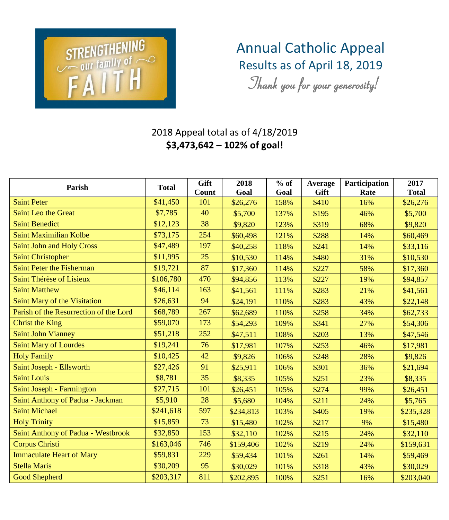

## Annual Catholic Appeal Results as of April 18, 2019

*Thank you for your generosity!*

## 2018 Appeal total as of 4/18/2019 **\$3,473,642 – 102% of goal!**

| Parish                                    | <b>Total</b> | Gift<br>Count | 2018<br>Goal | $%$ of<br>Goal | Average<br>Gift | Participation<br>Rate | 2017<br><b>Total</b> |
|-------------------------------------------|--------------|---------------|--------------|----------------|-----------------|-----------------------|----------------------|
| <b>Saint Peter</b>                        | \$41,450     | 101           | \$26,276     | 158%           | \$410           | 16%                   | \$26,276             |
| <b>Saint Leo the Great</b>                | \$7,785      | 40            | \$5,700      | 137%           | \$195           | 46%                   | \$5,700              |
| <b>Saint Benedict</b>                     | \$12,123     | 38            | \$9,820      | 123%           | \$319           | 68%                   | \$9,820              |
| <b>Saint Maximilian Kolbe</b>             | \$73,175     | 254           | \$60,498     | 121%           | \$288           | 14%                   | \$60,469             |
| <b>Saint John and Holy Cross</b>          | \$47,489     | 197           | \$40,258     | 118%           | \$241           | 14%                   | \$33,116             |
| <b>Saint Christopher</b>                  | \$11,995     | 25            | \$10,530     | 114%           | \$480           | 31%                   | \$10,530             |
| <b>Saint Peter the Fisherman</b>          | \$19,721     | 87            | \$17,360     | 114%           | \$227           | 58%                   | \$17,360             |
| Saint Thérèse of Lisieux                  | \$106,780    | 470           | \$94,856     | 113%           | \$227           | 19%                   | \$94,857             |
| <b>Saint Matthew</b>                      | \$46,114     | 163           | \$41,561     | 111%           | \$283           | 21%                   | \$41,561             |
| <b>Saint Mary of the Visitation</b>       | \$26,631     | 94            | \$24,191     | 110%           | \$283           | 43%                   | \$22,148             |
| Parish of the Resurrection of the Lord    | \$68,789     | 267           | \$62,689     | 110%           | \$258           | 34%                   | \$62,733             |
| <b>Christ the King</b>                    | \$59,070     | 173           | \$54,293     | 109%           | \$341           | 27%                   | \$54,306             |
| <b>Saint John Vianney</b>                 | \$51,218     | 252           | \$47,511     | 108%           | \$203           | 13%                   | \$47,546             |
| <b>Saint Mary of Lourdes</b>              | \$19,241     | 76            | \$17,981     | 107%           | \$253           | 46%                   | \$17,981             |
| <b>Holy Family</b>                        | \$10,425     | 42            | \$9,826      | 106%           | \$248           | 28%                   | \$9,826              |
| Saint Joseph - Ellsworth                  | \$27,426     | 91            | \$25,911     | 106%           | \$301           | 36%                   | \$21,694             |
| <b>Saint Louis</b>                        | \$8,781      | 35            | \$8,335      | 105%           | \$251           | 23%                   | \$8,335              |
| Saint Joseph - Farmington                 | \$27,715     | 101           | \$26,451     | 105%           | \$274           | 99%                   | \$26,451             |
| Saint Anthony of Padua - Jackman          | \$5,910      | 28            | \$5,680      | 104%           | \$211           | 24%                   | \$5,765              |
| <b>Saint Michael</b>                      | \$241,618    | 597           | \$234,813    | 103%           | \$405           | 19%                   | \$235,328            |
| <b>Holy Trinity</b>                       | \$15,859     | 73            | \$15,480     | 102%           | \$217           | 9%                    | \$15,480             |
| <b>Saint Anthony of Padua - Westbrook</b> | \$32,850     | 153           | \$32,110     | 102%           | \$215           | 24%                   | \$32,110             |
| <b>Corpus Christi</b>                     | \$163,046    | 746           | \$159,406    | 102%           | \$219           | 24%                   | \$159,631            |
| <b>Immaculate Heart of Mary</b>           | \$59,831     | 229           | \$59,434     | 101%           | \$261           | 14%                   | \$59,469             |
| <b>Stella Maris</b>                       | \$30,209     | 95            | \$30,029     | 101%           | \$318           | 43%                   | \$30,029             |
| <b>Good Shepherd</b>                      | \$203,317    | 811           | \$202,895    | 100%           | \$251           | 16%                   | \$203,040            |